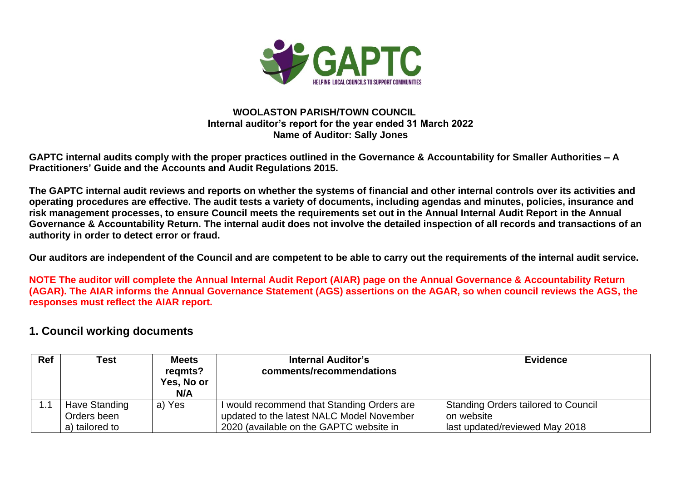

#### **WOOLASTON PARISH/TOWN COUNCIL Internal auditor's report for the year ended 31 March 2022 Name of Auditor: Sally Jones**

**GAPTC internal audits comply with the proper practices outlined in the Governance & Accountability for Smaller Authorities – A Practitioners' Guide and the Accounts and Audit Regulations 2015.**

**The GAPTC internal audit reviews and reports on whether the systems of financial and other internal controls over its activities and operating procedures are effective. The audit tests a variety of documents, including agendas and minutes, policies, insurance and risk management processes, to ensure Council meets the requirements set out in the Annual Internal Audit Report in the Annual Governance & Accountability Return. The internal audit does not involve the detailed inspection of all records and transactions of an authority in order to detect error or fraud.**

**Our auditors are independent of the Council and are competent to be able to carry out the requirements of the internal audit service.**

**NOTE The auditor will complete the Annual Internal Audit Report (AIAR) page on the Annual Governance & Accountability Return (AGAR). The AIAR informs the Annual Governance Statement (AGS) assertions on the AGAR, so when council reviews the AGS, the responses must reflect the AIAR report.**

#### **1. Council working documents**

| <b>Ref</b>                  | <b>Test</b>                                    | <b>Meets</b><br>regmts?<br>Yes, No or<br>N/A | <b>Internal Auditor's</b><br>comments/recommendations                                                                              | <b>Evidence</b>                                                                     |
|-----------------------------|------------------------------------------------|----------------------------------------------|------------------------------------------------------------------------------------------------------------------------------------|-------------------------------------------------------------------------------------|
| $\overline{\phantom{0}}$ .1 | Have Standing<br>Orders been<br>a) tailored to | a) Yes                                       | I would recommend that Standing Orders are<br>updated to the latest NALC Model November<br>2020 (available on the GAPTC website in | Standing Orders tailored to Council<br>on website<br>last updated/reviewed May 2018 |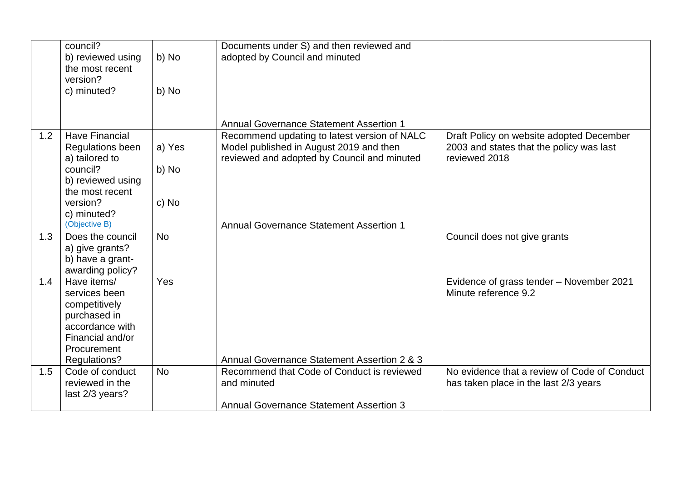|     | council?<br>b) reviewed using<br>the most recent<br>version?<br>c) minuted?                                                         | b) No<br>b) No  | Documents under S) and then reviewed and<br>adopted by Council and minuted                                                             |                                                                                                       |
|-----|-------------------------------------------------------------------------------------------------------------------------------------|-----------------|----------------------------------------------------------------------------------------------------------------------------------------|-------------------------------------------------------------------------------------------------------|
|     |                                                                                                                                     |                 |                                                                                                                                        |                                                                                                       |
|     |                                                                                                                                     |                 | <b>Annual Governance Statement Assertion 1</b>                                                                                         |                                                                                                       |
| 1.2 | <b>Have Financial</b><br>Regulations been<br>a) tailored to<br>council?<br>b) reviewed using<br>the most recent                     | a) Yes<br>b) No | Recommend updating to latest version of NALC<br>Model published in August 2019 and then<br>reviewed and adopted by Council and minuted | Draft Policy on website adopted December<br>2003 and states that the policy was last<br>reviewed 2018 |
|     | version?<br>c) minuted?<br>(Objective B)                                                                                            | c) No           | <b>Annual Governance Statement Assertion 1</b>                                                                                         |                                                                                                       |
| 1.3 | Does the council<br>a) give grants?<br>b) have a grant-<br>awarding policy?                                                         | <b>No</b>       |                                                                                                                                        | Council does not give grants                                                                          |
| 1.4 | Have items/<br>services been<br>competitively<br>purchased in<br>accordance with<br>Financial and/or<br>Procurement<br>Regulations? | Yes             | Annual Governance Statement Assertion 2 & 3                                                                                            | Evidence of grass tender - November 2021<br>Minute reference 9.2                                      |
| 1.5 | Code of conduct<br>reviewed in the<br>last 2/3 years?                                                                               | <b>No</b>       | Recommend that Code of Conduct is reviewed<br>and minuted<br><b>Annual Governance Statement Assertion 3</b>                            | No evidence that a review of Code of Conduct<br>has taken place in the last 2/3 years                 |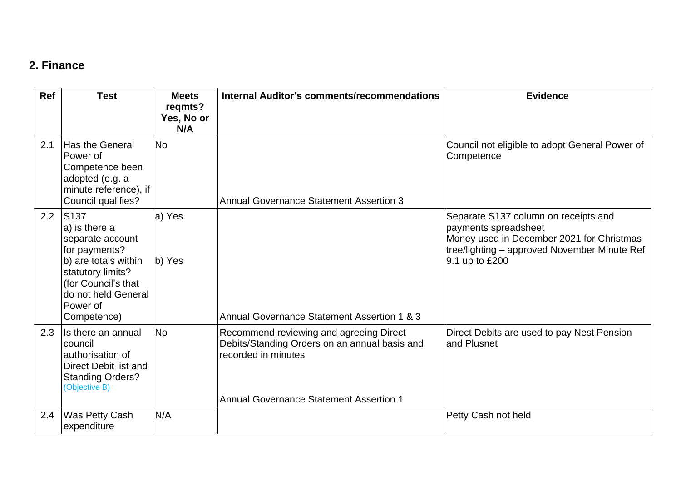### **2. Finance**

| <b>Ref</b> | <b>Test</b>                                                                                                                                                                      | <b>Meets</b><br>regmts?<br>Yes, No or<br>N/A | Internal Auditor's comments/recommendations                                                                                                                       | <b>Evidence</b>                                                                                                                                                             |
|------------|----------------------------------------------------------------------------------------------------------------------------------------------------------------------------------|----------------------------------------------|-------------------------------------------------------------------------------------------------------------------------------------------------------------------|-----------------------------------------------------------------------------------------------------------------------------------------------------------------------------|
| 2.1        | Has the General<br>Power of<br>Competence been<br>adopted (e.g. a<br>minute reference), if<br>Council qualifies?                                                                 | <b>No</b>                                    | <b>Annual Governance Statement Assertion 3</b>                                                                                                                    | Council not eligible to adopt General Power of<br>Competence                                                                                                                |
| 2.2        | S137<br>a) is there a<br>separate account<br>for payments?<br>b) are totals within<br>statutory limits?<br>(for Council's that<br>do not held General<br>Power of<br>Competence) | a) Yes<br>b) Yes                             | Annual Governance Statement Assertion 1 & 3                                                                                                                       | Separate S137 column on receipts and<br>payments spreadsheet<br>Money used in December 2021 for Christmas<br>tree/lighting - approved November Minute Ref<br>9.1 up to £200 |
| 2.3        | Is there an annual<br>council<br>authorisation of<br>Direct Debit list and<br><b>Standing Orders?</b><br>(Objective B)                                                           | <b>No</b>                                    | Recommend reviewing and agreeing Direct<br>Debits/Standing Orders on an annual basis and<br>recorded in minutes<br><b>Annual Governance Statement Assertion 1</b> | Direct Debits are used to pay Nest Pension<br>and Plusnet                                                                                                                   |
| 2.4        | Was Petty Cash<br>expenditure                                                                                                                                                    | N/A                                          |                                                                                                                                                                   | Petty Cash not held                                                                                                                                                         |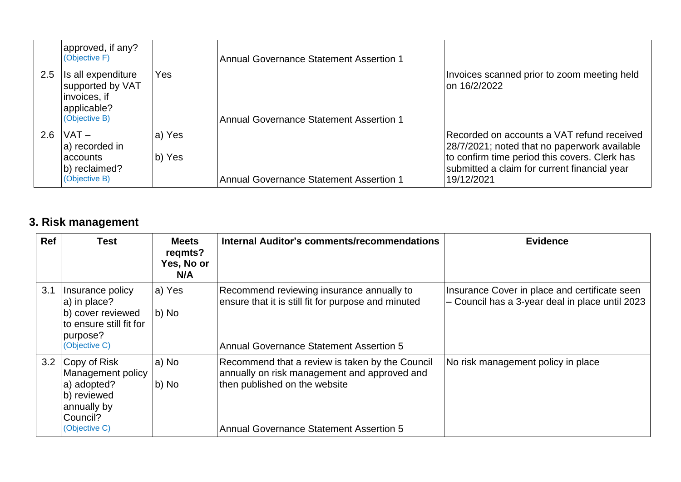|     | approved, if any?<br>(Objective F)                                                     |                  | <b>Annual Governance Statement Assertion 1</b> |                                                                                                                                                                                                           |
|-----|----------------------------------------------------------------------------------------|------------------|------------------------------------------------|-----------------------------------------------------------------------------------------------------------------------------------------------------------------------------------------------------------|
| 2.5 | Is all expenditure<br>supported by VAT<br>invoices, if<br>applicable?<br>(Objective B) | Yes              | <b>Annual Governance Statement Assertion 1</b> | Invoices scanned prior to zoom meeting held<br>on 16/2/2022                                                                                                                                               |
| 2.6 | $VAT -$<br>a) recorded in<br>accounts<br>b) reclaimed?<br>(Objective B)                | a) Yes<br>b) Yes | <b>Annual Governance Statement Assertion 1</b> | Recorded on accounts a VAT refund received<br>28/7/2021; noted that no paperwork available<br>to confirm time period this covers. Clerk has<br>submitted a claim for current financial year<br>19/12/2021 |

# **3. Risk management**

| Ref | <b>Test</b>                                                                                                   | <b>Meets</b><br>regmts?<br>Yes, No or<br>N/A | Internal Auditor's comments/recommendations                                                                                                                                        | <b>Evidence</b>                                                                                  |
|-----|---------------------------------------------------------------------------------------------------------------|----------------------------------------------|------------------------------------------------------------------------------------------------------------------------------------------------------------------------------------|--------------------------------------------------------------------------------------------------|
| 3.1 | Insurance policy<br>a) in place?<br>b) cover reviewed<br>to ensure still fit for<br>purpose?<br>(Objective C) | a) Yes<br>b) No                              | Recommend reviewing insurance annually to<br>ensure that it is still fit for purpose and minuted<br><b>Annual Governance Statement Assertion 5</b>                                 | Insurance Cover in place and certificate seen<br>- Council has a 3-year deal in place until 2023 |
| 3.2 | Copy of Risk<br>Management policy<br>a) adopted?<br>b) reviewed<br>annually by<br>Council?<br>(Objective C)   | a) No<br>b) No                               | Recommend that a review is taken by the Council<br>annually on risk management and approved and<br>then published on the website<br><b>Annual Governance Statement Assertion 5</b> | No risk management policy in place                                                               |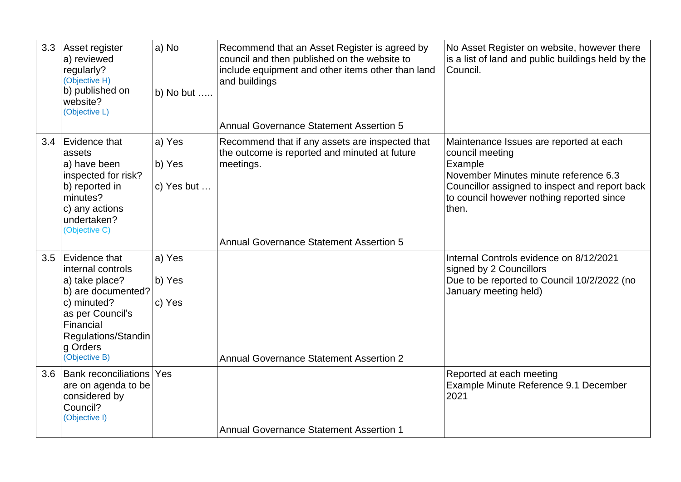| 3.3 | Asset register<br>a) reviewed<br>regularly?<br>(Objective H)<br>b) published on<br>website?<br>(Objective L)                                                                   | a) No<br>b) No but $\dots$     | Recommend that an Asset Register is agreed by<br>council and then published on the website to<br>include equipment and other items other than land<br>and buildings<br><b>Annual Governance Statement Assertion 5</b> | No Asset Register on website, however there<br>is a list of land and public buildings held by the<br>Council.                                                                                                          |
|-----|--------------------------------------------------------------------------------------------------------------------------------------------------------------------------------|--------------------------------|-----------------------------------------------------------------------------------------------------------------------------------------------------------------------------------------------------------------------|------------------------------------------------------------------------------------------------------------------------------------------------------------------------------------------------------------------------|
| 3.4 | Evidence that<br>assets<br>a) have been<br>inspected for risk?<br>b) reported in<br>minutes?<br>c) any actions<br>undertaken?<br>(Objective C)                                 | a) Yes<br>b) Yes<br>c) Yes but | Recommend that if any assets are inspected that<br>the outcome is reported and minuted at future<br>meetings.<br><b>Annual Governance Statement Assertion 5</b>                                                       | Maintenance Issues are reported at each<br>council meeting<br>Example<br>November Minutes minute reference 6.3<br>Councillor assigned to inspect and report back<br>to council however nothing reported since<br>then. |
| 3.5 | Evidence that<br>internal controls<br>a) take place?<br>b) are documented?<br>c) minuted?<br>as per Council's<br>Financial<br>Regulations/Standin<br>g Orders<br>(Objective B) | a) Yes<br>b) Yes<br>c) Yes     | <b>Annual Governance Statement Assertion 2</b>                                                                                                                                                                        | Internal Controls evidence on 8/12/2021<br>signed by 2 Councillors<br>Due to be reported to Council 10/2/2022 (no<br>January meeting held)                                                                             |
| 3.6 | <b>Bank reconciliations Yes</b><br>are on agenda to be<br>considered by<br>Council?<br>(Objective I)                                                                           |                                | <b>Annual Governance Statement Assertion 1</b>                                                                                                                                                                        | Reported at each meeting<br>Example Minute Reference 9.1 December<br>2021                                                                                                                                              |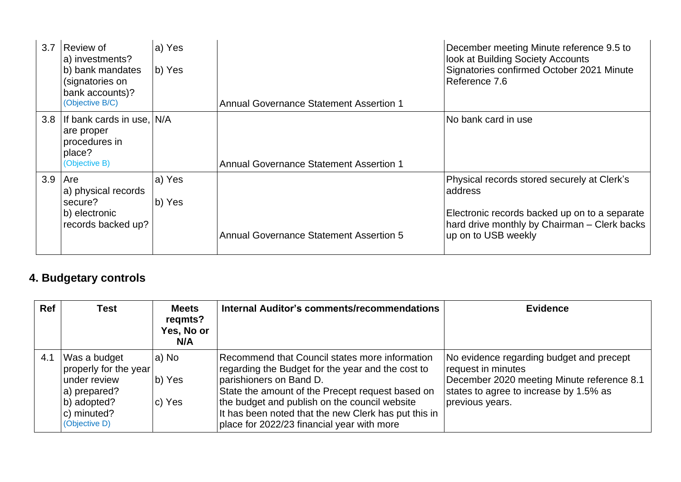| 3.7 | Review of<br>a) investments?<br>b) bank mandates<br>(signatories on<br>bank accounts)?<br>(Objective B/C) | la) Yes<br>b) Yes | <b>Annual Governance Statement Assertion 1</b> | December meeting Minute reference 9.5 to<br>look at Building Society Accounts<br>Signatories confirmed October 2021 Minute<br>Reference 7.6                                    |
|-----|-----------------------------------------------------------------------------------------------------------|-------------------|------------------------------------------------|--------------------------------------------------------------------------------------------------------------------------------------------------------------------------------|
| 3.8 | If bank cards in use, N/A<br>are proper<br>procedures in<br>place?<br>(Objective B)                       |                   | <b>Annual Governance Statement Assertion 1</b> | No bank card in use                                                                                                                                                            |
| 3.9 | ∣Are<br>a) physical records<br>secure?<br>b) electronic<br>records backed up?                             | a) Yes<br>b) Yes  | <b>Annual Governance Statement Assertion 5</b> | Physical records stored securely at Clerk's<br>address<br>Electronic records backed up on to a separate<br>hard drive monthly by Chairman - Clerk backs<br>up on to USB weekly |

# **4. Budgetary controls**

| <b>Ref</b> | <b>Test</b>                                                                                                          | <b>Meets</b><br>regmts?<br>Yes, No or<br>N/A | <b>Internal Auditor's comments/recommendations</b>                                                                                                                                                                                                                                                                                        | <b>Evidence</b>                                                                                                                                                           |
|------------|----------------------------------------------------------------------------------------------------------------------|----------------------------------------------|-------------------------------------------------------------------------------------------------------------------------------------------------------------------------------------------------------------------------------------------------------------------------------------------------------------------------------------------|---------------------------------------------------------------------------------------------------------------------------------------------------------------------------|
| 4.1        | Was a budget<br>properly for the year<br>under review<br>a) prepared?<br>b) adopted?<br>c) minuted?<br>(Objective D) | a) No<br>b) Yes<br>c) Yes                    | Recommend that Council states more information<br>regarding the Budget for the year and the cost to<br>parishioners on Band D.<br>State the amount of the Precept request based on<br>the budget and publish on the council website<br>It has been noted that the new Clerk has put this in<br>place for 2022/23 financial year with more | No evidence regarding budget and precept<br>request in minutes<br>December 2020 meeting Minute reference 8.1<br>states to agree to increase by 1.5% as<br>previous years. |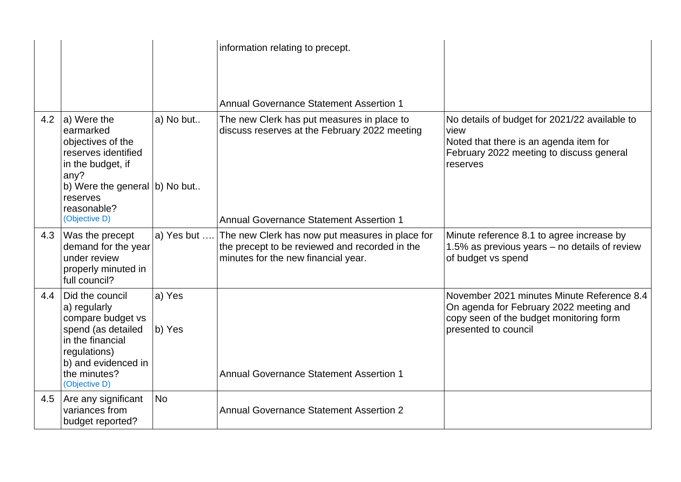|     |                                                                                                                                                                        |                  | information relating to precept.                                                                                                         |                                                                                                                                                          |
|-----|------------------------------------------------------------------------------------------------------------------------------------------------------------------------|------------------|------------------------------------------------------------------------------------------------------------------------------------------|----------------------------------------------------------------------------------------------------------------------------------------------------------|
|     |                                                                                                                                                                        |                  | <b>Annual Governance Statement Assertion 1</b>                                                                                           |                                                                                                                                                          |
| 4.2 | $ a $ Were the<br>earmarked<br>objectives of the<br>reserves identified<br>in the budget, if<br>any?                                                                   | a) No but        | The new Clerk has put measures in place to<br>discuss reserves at the February 2022 meeting                                              | No details of budget for 2021/22 available to<br>view<br>Noted that there is an agenda item for<br>February 2022 meeting to discuss general<br>reserves  |
|     | b) Were the general b) No but<br>reserves<br>reasonable?<br>(Objective D)                                                                                              |                  | <b>Annual Governance Statement Assertion 1</b>                                                                                           |                                                                                                                                                          |
| 4.3 | Was the precept<br>demand for the year<br>under review<br>properly minuted in<br>full council?                                                                         | a) Yes but       | The new Clerk has now put measures in place for<br>the precept to be reviewed and recorded in the<br>minutes for the new financial year. | Minute reference 8.1 to agree increase by<br>1.5% as previous years – no details of review<br>of budget vs spend                                         |
| 4.4 | Did the council<br>a) regularly<br>compare budget vs<br>spend (as detailed<br>in the financial<br>regulations)<br>b) and evidenced in<br>the minutes?<br>(Objective D) | a) Yes<br>b) Yes | <b>Annual Governance Statement Assertion 1</b>                                                                                           | November 2021 minutes Minute Reference 8.4<br>On agenda for February 2022 meeting and<br>copy seen of the budget monitoring form<br>presented to council |
| 4.5 | Are any significant<br>variances from<br>budget reported?                                                                                                              | <b>No</b>        | <b>Annual Governance Statement Assertion 2</b>                                                                                           |                                                                                                                                                          |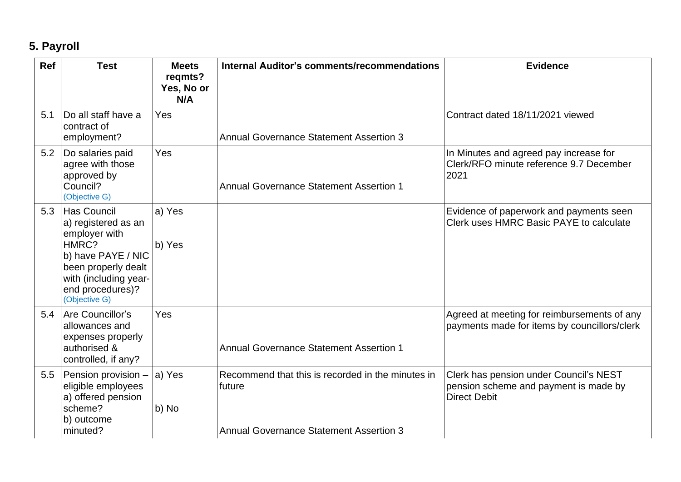# **5. Payroll**

| Ref | <b>Test</b>                                                                                                                                                                    | <b>Meets</b><br>regmts?<br>Yes, No or<br>N/A | <b>Internal Auditor's comments/recommendations</b>                                                            | <b>Evidence</b>                                                                                        |
|-----|--------------------------------------------------------------------------------------------------------------------------------------------------------------------------------|----------------------------------------------|---------------------------------------------------------------------------------------------------------------|--------------------------------------------------------------------------------------------------------|
| 5.1 | Do all staff have a<br>contract of<br>employment?                                                                                                                              | Yes                                          | <b>Annual Governance Statement Assertion 3</b>                                                                | Contract dated 18/11/2021 viewed                                                                       |
| 5.2 | Do salaries paid<br>agree with those<br>approved by<br>Council?<br>(Objective G)                                                                                               | Yes                                          | <b>Annual Governance Statement Assertion 1</b>                                                                | In Minutes and agreed pay increase for<br>Clerk/RFO minute reference 9.7 December<br>2021              |
| 5.3 | <b>Has Council</b><br>a) registered as an<br>employer with<br>HMRC?<br>b) have PAYE / NIC<br>been properly dealt<br>with (including year-<br>end procedures)?<br>(Objective G) | a) Yes<br>b) Yes                             |                                                                                                               | Evidence of paperwork and payments seen<br>Clerk uses HMRC Basic PAYE to calculate                     |
| 5.4 | Are Councillor's<br>allowances and<br>expenses properly<br>authorised &<br>controlled, if any?                                                                                 | Yes                                          | <b>Annual Governance Statement Assertion 1</b>                                                                | Agreed at meeting for reimbursements of any<br>payments made for items by councillors/clerk            |
| 5.5 | Pension provision -<br>eligible employees<br>a) offered pension<br>scheme?<br>b) outcome<br>minuted?                                                                           | a) Yes<br>b) No                              | Recommend that this is recorded in the minutes in<br>future<br><b>Annual Governance Statement Assertion 3</b> | Clerk has pension under Council's NEST<br>pension scheme and payment is made by<br><b>Direct Debit</b> |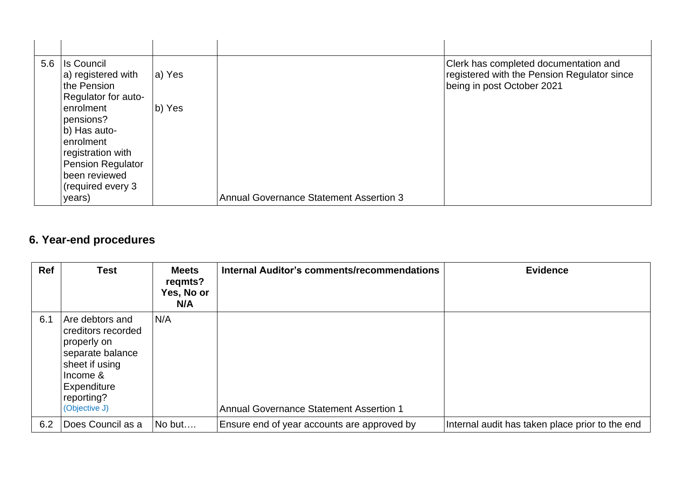| 5.6 Is Council           |        | Clerk has completed documentation and          |
|--------------------------|--------|------------------------------------------------|
| a) registered with       | a) Yes | registered with the Pension Regulator since    |
| the Pension              |        | being in post October 2021                     |
| Regulator for auto-      |        |                                                |
| enrolment                | b) Yes |                                                |
| pensions?                |        |                                                |
| b) Has auto-             |        |                                                |
| enrolment                |        |                                                |
| registration with        |        |                                                |
| <b>Pension Regulator</b> |        |                                                |
| been reviewed            |        |                                                |
| (required every 3        |        |                                                |
| years)                   |        | <b>Annual Governance Statement Assertion 3</b> |

## **6. Year-end procedures**

| Ref | <b>Test</b>                                                                                                                                          | <b>Meets</b><br>regmts?<br>Yes, No or<br>N/A | Internal Auditor's comments/recommendations    | <b>Evidence</b>                                 |
|-----|------------------------------------------------------------------------------------------------------------------------------------------------------|----------------------------------------------|------------------------------------------------|-------------------------------------------------|
| 6.1 | Are debtors and<br>creditors recorded<br>properly on<br>separate balance<br>sheet if using<br>Income &<br>Expenditure<br>reporting?<br>(Objective J) | N/A                                          | <b>Annual Governance Statement Assertion 1</b> |                                                 |
| 6.2 | Does Council as a                                                                                                                                    | No but                                       | Ensure end of year accounts are approved by    | Internal audit has taken place prior to the end |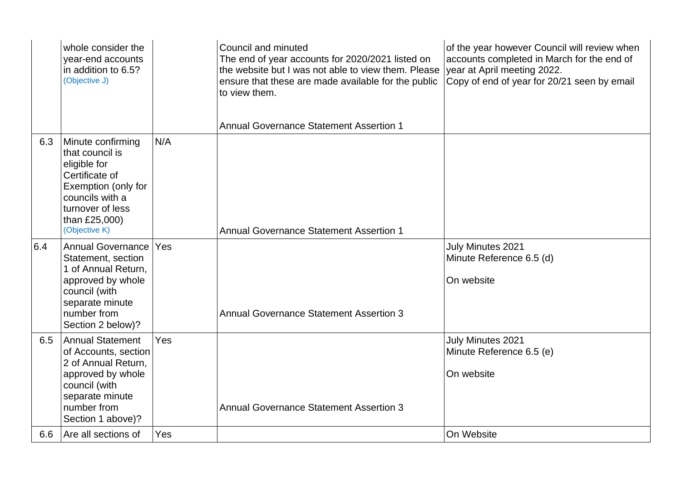|     | whole consider the<br>year-end accounts<br>in addition to 6.5?<br>(Objective J)                                                                                        |     | Council and minuted<br>The end of year accounts for 2020/2021 listed on<br>the website but I was not able to view them. Please<br>ensure that these are made available for the public<br>to view them.<br><b>Annual Governance Statement Assertion 1</b> | of the year however Council will review when<br>accounts completed in March for the end of<br>year at April meeting 2022.<br>Copy of end of year for 20/21 seen by email |
|-----|------------------------------------------------------------------------------------------------------------------------------------------------------------------------|-----|----------------------------------------------------------------------------------------------------------------------------------------------------------------------------------------------------------------------------------------------------------|--------------------------------------------------------------------------------------------------------------------------------------------------------------------------|
| 6.3 | Minute confirming<br>that council is<br>eligible for<br>Certificate of<br>Exemption (only for<br>councils with a<br>turnover of less<br>than £25,000)<br>(Objective K) | N/A | <b>Annual Governance Statement Assertion 1</b>                                                                                                                                                                                                           |                                                                                                                                                                          |
| 6.4 | <b>Annual Governance</b><br>Statement, section<br>1 of Annual Return,<br>approved by whole<br>council (with<br>separate minute<br>number from<br>Section 2 below)?     | Yes | <b>Annual Governance Statement Assertion 3</b>                                                                                                                                                                                                           | July Minutes 2021<br>Minute Reference 6.5 (d)<br>On website                                                                                                              |
| 6.5 | <b>Annual Statement</b><br>of Accounts, section<br>2 of Annual Return,<br>approved by whole<br>council (with<br>separate minute<br>number from<br>Section 1 above)?    | Yes | <b>Annual Governance Statement Assertion 3</b>                                                                                                                                                                                                           | July Minutes 2021<br>Minute Reference 6.5 (e)<br>On website                                                                                                              |
| 6.6 | Are all sections of                                                                                                                                                    | Yes |                                                                                                                                                                                                                                                          | On Website                                                                                                                                                               |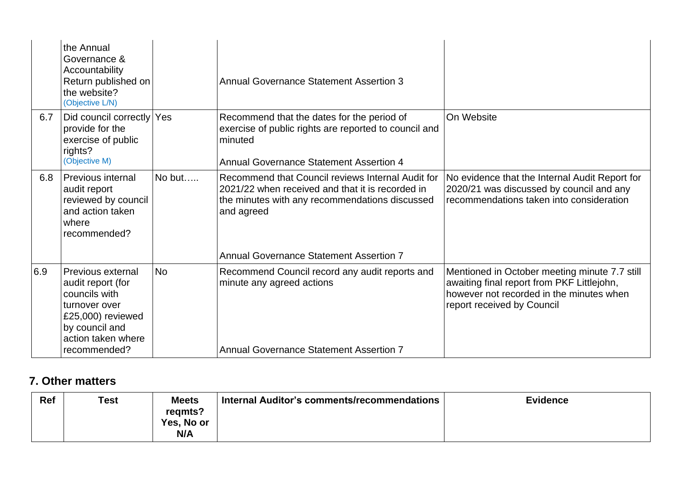|     | the Annual<br>Governance &<br>Accountability<br>Return published on<br>the website?<br>(Objective L/N)                                                |           | <b>Annual Governance Statement Assertion 3</b>                                                                                                                                                                          |                                                                                                                                                                       |
|-----|-------------------------------------------------------------------------------------------------------------------------------------------------------|-----------|-------------------------------------------------------------------------------------------------------------------------------------------------------------------------------------------------------------------------|-----------------------------------------------------------------------------------------------------------------------------------------------------------------------|
| 6.7 | Did council correctly Yes<br>provide for the<br>exercise of public<br>rights?<br>(Objective M)                                                        |           | Recommend that the dates for the period of<br>exercise of public rights are reported to council and<br>minuted<br><b>Annual Governance Statement Assertion 4</b>                                                        | On Website                                                                                                                                                            |
| 6.8 | <b>Previous internal</b><br>audit report<br>reviewed by council<br>and action taken<br>where<br>recommended?                                          | No but    | Recommend that Council reviews Internal Audit for<br>2021/22 when received and that it is recorded in<br>the minutes with any recommendations discussed<br>and agreed<br><b>Annual Governance Statement Assertion 7</b> | No evidence that the Internal Audit Report for<br>2020/21 was discussed by council and any<br>recommendations taken into consideration                                |
| 6.9 | Previous external<br>audit report (for<br>councils with<br>turnover over<br>£25,000) reviewed<br>by council and<br>action taken where<br>recommended? | <b>No</b> | Recommend Council record any audit reports and<br>minute any agreed actions<br><b>Annual Governance Statement Assertion 7</b>                                                                                           | Mentioned in October meeting minute 7.7 still<br>awaiting final report from PKF Littlejohn,<br>however not recorded in the minutes when<br>report received by Council |

#### **7. Other matters**

| Ref | <b>Test</b> | <b>Meets</b><br>regmts?<br><b>Yes, No or</b><br>N/A | Internal Auditor's comments/recommendations | <b>Evidence</b> |
|-----|-------------|-----------------------------------------------------|---------------------------------------------|-----------------|
|     |             |                                                     |                                             |                 |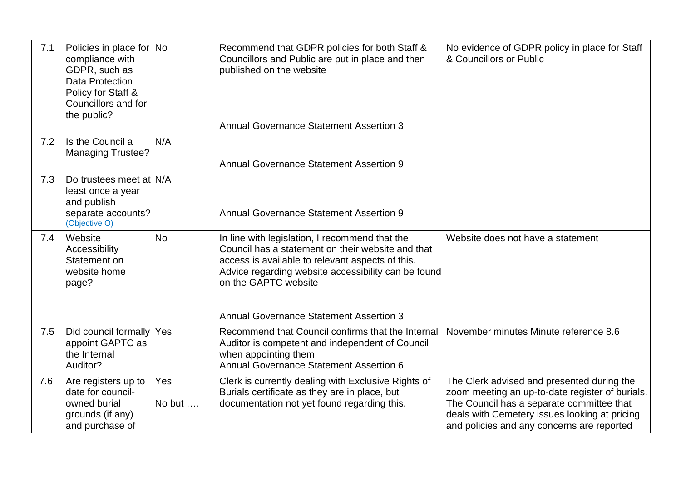| 7.1 | Policies in place for No<br>compliance with<br>GDPR, such as<br>Data Protection<br>Policy for Staff &<br>Councillors and for<br>the public? |                       | Recommend that GDPR policies for both Staff &<br>Councillors and Public are put in place and then<br>published on the website<br><b>Annual Governance Statement Assertion 3</b>                                                                                                          | No evidence of GDPR policy in place for Staff<br>& Councillors or Public                                                                                                                                                                  |
|-----|---------------------------------------------------------------------------------------------------------------------------------------------|-----------------------|------------------------------------------------------------------------------------------------------------------------------------------------------------------------------------------------------------------------------------------------------------------------------------------|-------------------------------------------------------------------------------------------------------------------------------------------------------------------------------------------------------------------------------------------|
| 7.2 | Is the Council a<br><b>Managing Trustee?</b>                                                                                                | N/A                   | <b>Annual Governance Statement Assertion 9</b>                                                                                                                                                                                                                                           |                                                                                                                                                                                                                                           |
| 7.3 | Do trustees meet at N/A<br>least once a year<br>and publish<br>separate accounts?<br>(Objective O)                                          |                       | <b>Annual Governance Statement Assertion 9</b>                                                                                                                                                                                                                                           |                                                                                                                                                                                                                                           |
| 7.4 | Website<br>Accessibility<br>Statement on<br>website home<br>page?                                                                           | <b>No</b>             | In line with legislation, I recommend that the<br>Council has a statement on their website and that<br>access is available to relevant aspects of this.<br>Advice regarding website accessibility can be found<br>on the GAPTC website<br><b>Annual Governance Statement Assertion 3</b> | Website does not have a statement                                                                                                                                                                                                         |
| 7.5 | Did council formally Yes<br>appoint GAPTC as<br>the Internal<br>Auditor?                                                                    |                       | Recommend that Council confirms that the Internal<br>Auditor is competent and independent of Council<br>when appointing them<br><b>Annual Governance Statement Assertion 6</b>                                                                                                           | November minutes Minute reference 8.6                                                                                                                                                                                                     |
| 7.6 | Are registers up to<br>date for council-<br>owned burial<br>grounds (if any)<br>and purchase of                                             | Yes<br>No but $\dots$ | Clerk is currently dealing with Exclusive Rights of<br>Burials certificate as they are in place, but<br>documentation not yet found regarding this.                                                                                                                                      | The Clerk advised and presented during the<br>zoom meeting an up-to-date register of burials.<br>The Council has a separate committee that<br>deals with Cemetery issues looking at pricing<br>and policies and any concerns are reported |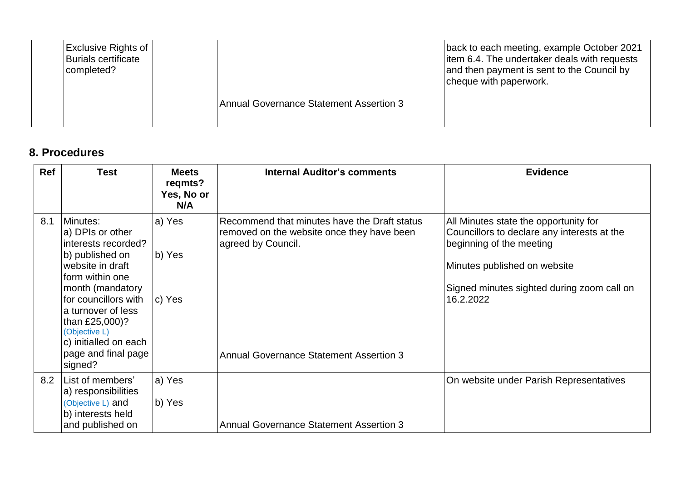| <b>Exclusive Rights of</b>                     | back to each meeting, example October 2021   |
|------------------------------------------------|----------------------------------------------|
| <b>Burials certificate</b>                     | item 6.4. The undertaker deals with requests |
| completed?                                     | and then payment is sent to the Council by   |
| <b>Annual Governance Statement Assertion 3</b> | cheque with paperwork.                       |

### **8. Procedures**

| <b>Ref</b> | <b>Test</b>                                                                                                                                                                                                                                                                   | <b>Meets</b><br>regmts?<br>Yes, No or<br>N/A | <b>Internal Auditor's comments</b>                                                                                                                                 | <b>Evidence</b>                                                                                                                                                                                             |
|------------|-------------------------------------------------------------------------------------------------------------------------------------------------------------------------------------------------------------------------------------------------------------------------------|----------------------------------------------|--------------------------------------------------------------------------------------------------------------------------------------------------------------------|-------------------------------------------------------------------------------------------------------------------------------------------------------------------------------------------------------------|
| 8.1        | Minutes:<br>a) DPIs or other<br>interests recorded?<br>b) published on<br>website in draft<br>form within one<br>month (mandatory<br>for councillors with<br>a turnover of less<br>than £25,000)?<br>(Objective L)<br>c) initialled on each<br>page and final page<br>signed? | a) Yes<br>b) Yes<br>c) Yes                   | Recommend that minutes have the Draft status<br>removed on the website once they have been<br>agreed by Council.<br><b>Annual Governance Statement Assertion 3</b> | All Minutes state the opportunity for<br>Councillors to declare any interests at the<br>beginning of the meeting<br>Minutes published on website<br>Signed minutes sighted during zoom call on<br>16.2.2022 |
| 8.2        | List of members'<br>a) responsibilities<br>(Objective L) and<br>b) interests held<br>and published on                                                                                                                                                                         | a) Yes<br>b) Yes                             | <b>Annual Governance Statement Assertion 3</b>                                                                                                                     | On website under Parish Representatives                                                                                                                                                                     |